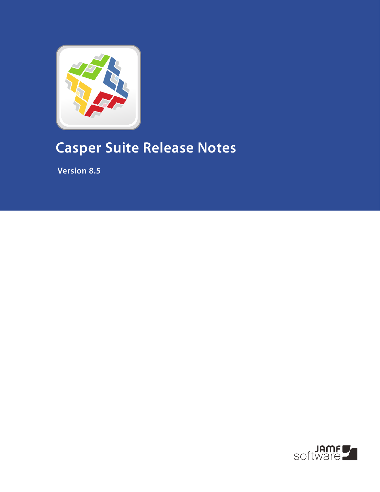

## **Casper Suite Release Notes**

 **Version 8.5**

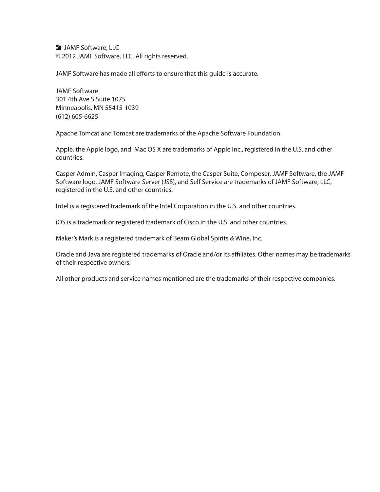**JAMF Software, LLC** © 2012 JAMF Software, LLC. All rights reserved.

JAMF Software has made all efforts to ensure that this guide is accurate.

JAMF Software 301 4th Ave S Suite 1075 Minneapolis, MN 55415-1039 (612) 605-6625

Apache Tomcat and Tomcat are trademarks of the Apache Software Foundation.

Apple, the Apple logo, and Mac OS X are trademarks of Apple Inc., registered in the U.S. and other countries.

Casper Admin, Casper Imaging, Casper Remote, the Casper Suite, Composer, JAMF Software, the JAMF Software logo, JAMF Software Server (JSS), and Self Service are trademarks of JAMF Software, LLC, registered in the U.S. and other countries.

Intel is a registered trademark of the Intel Corporation in the U.S. and other countries.

iOS is a trademark or registered trademark of Cisco in the U.S. and other countries.

Maker's Mark is a registered trademark of Beam Global Spirits & Wine, Inc.

Oracle and Java are registered trademarks of Oracle and/or its affiliates. Other names may be trademarks of their respective owners.

All other products and service names mentioned are the trademarks of their respective companies.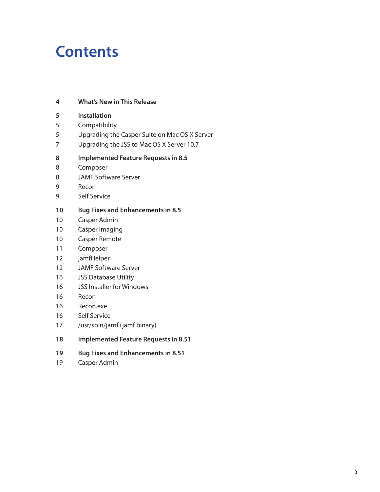## **Contents**

#### **What's New in This Release**

- **Installation**
- Compatibility
- Upgrading the Casper Suite on Mac OS X Server
- Upgrading the JSS to Mac OS X Server 10.7

#### **Implemented Feature Requests in 8.5**

- Composer
- JAMF Software Server
- Recon
- Self Service

#### **Bug Fixes and Enhancements in 8.5**

- Casper Admin
- Casper Imaging
- Casper Remote
- Composer
- jamfHelper
- JAMF Software Server
- JSS Database Utility
- JSS Installer for Windows
- Recon
- Recon.exe
- Self Service
- /usr/sbin/jamf (jamf binary)
- **Implemented Feature Requests in 8.51**
- **Bug Fixes and Enhancements in 8.51**
- Casper Admin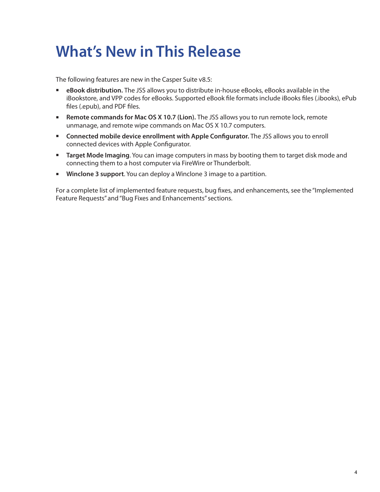## **What's New in This Release**

The following features are new in the Casper Suite v8.5:

- **eBook distribution.** The JSS allows you to distribute in-house eBooks, eBooks available in the iBookstore, and VPP codes for eBooks. Supported eBook file formats include iBooks files (.ibooks), ePub files (.epub), and PDF files.
- **Remote commands for Mac OS X 10.7 (Lion).** The JSS allows you to run remote lock, remote unmanage, and remote wipe commands on Mac OS X 10.7 computers.
- **Connected mobile device enrollment with Apple Configurator.** The JSS allows you to enroll connected devices with Apple Configurator.
- **Target Mode Imaging**. You can image computers in mass by booting them to target disk mode and connecting them to a host computer via FireWire or Thunderbolt.
- **Winclone 3 support**. You can deploy a Winclone 3 image to a partition.

For a complete list of implemented feature requests, bug fixes, and enhancements, see the "Implemented Feature Requests" and "Bug Fixes and Enhancements" sections.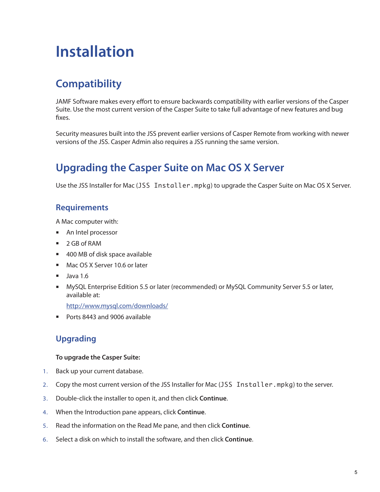## **Installation**

## **Compatibility**

JAMF Software makes every effort to ensure backwards compatibility with earlier versions of the Casper Suite. Use the most current version of the Casper Suite to take full advantage of new features and bug fixes.

Security measures built into the JSS prevent earlier versions of Casper Remote from working with newer versions of the JSS. Casper Admin also requires a JSS running the same version.

### **Upgrading the Casper Suite on Mac OS X Server**

Use the JSS Installer for Mac (JSS Installer.mpkg) to upgrade the Casper Suite on Mac OS X Server.

#### **Requirements**

A Mac computer with:

- An Intel processor
- 2 GB of RAM
- 400 MB of disk space available
- Mac OS X Server 10.6 or later
- $\blacksquare$  Java 1.6
- MySQL Enterprise Edition 5.5 or later (recommended) or MySQL Community Server 5.5 or later, available at:

<http://www.mysql.com/downloads/>

Ports 8443 and 9006 available

#### **Upgrading**

#### **To upgrade the Casper Suite:**

- 1. Back up your current database.
- 2. Copy the most current version of the JSS Installer for Mac (JSS Installer.mpkg) to the server.
- 3. Double-click the installer to open it, and then click **Continue**.
- 4. When the Introduction pane appears, click **Continue**.
- 5. Read the information on the Read Me pane, and then click **Continue**.
- 6. Select a disk on which to install the software, and then click **Continue**.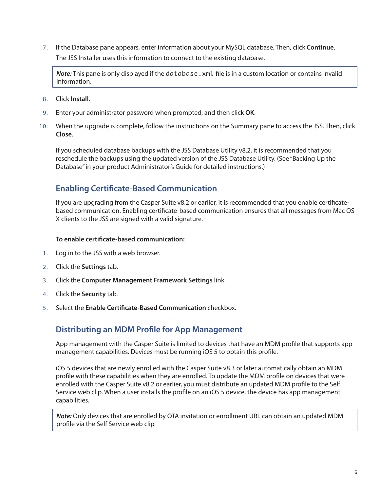7. If the Database pane appears, enter information about your MySQL database. Then, click **Continue**. The JSS Installer uses this information to connect to the existing database.

*Note:* This pane is only displayed if the database. xml file is in a custom location or contains invalid information.

- 8. Click **Install**.
- 9. Enter your administrator password when prompted, and then click **OK**.
- 10. When the upgrade is complete, follow the instructions on the Summary pane to access the JSS. Then, click **Close**.

If you scheduled database backups with the JSS Database Utility v8.2, it is recommended that you reschedule the backups using the updated version of the JSS Database Utility. (See "Backing Up the Database" in your product Administrator's Guide for detailed instructions.)

#### **Enabling Certificate-Based Communication**

If you are upgrading from the Casper Suite v8.2 or earlier, it is recommended that you enable certificatebased communication. Enabling certificate-based communication ensures that all messages from Mac OS X clients to the JSS are signed with a valid signature.

#### **To enable certificate-based communication:**

- 1. Log in to the JSS with a web browser.
- 2. Click the **Settings** tab.
- 3. Click the **Computer Management Framework Settings** link.
- 4. Click the **Security** tab.
- 5. Select the **Enable Certificate-Based Communication** checkbox.

#### **Distributing an MDM Profile for App Management**

App management with the Casper Suite is limited to devices that have an MDM profile that supports app management capabilities. Devices must be running iOS 5 to obtain this profile.

iOS 5 devices that are newly enrolled with the Casper Suite v8.3 or later automatically obtain an MDM profile with these capabilities when they are enrolled. To update the MDM profile on devices that were enrolled with the Casper Suite v8.2 or earlier, you must distribute an updated MDM profile to the Self Service web clip. When a user installs the profile on an iOS 5 device, the device has app management capabilities.

*Note:* Only devices that are enrolled by OTA invitation or enrollment URL can obtain an updated MDM profile via the Self Service web clip.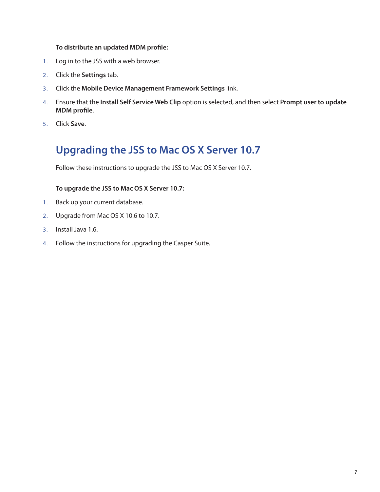#### **To distribute an updated MDM profile:**

- 1. Log in to the JSS with a web browser.
- 2. Click the **Settings** tab.
- 3. Click the **Mobile Device Management Framework Settings** link.
- 4. Ensure that the **Install Self Service Web Clip** option is selected, and then select **Prompt user to update MDM profile**.
- 5. Click **Save**.

### **Upgrading the JSS to Mac OS X Server 10.7**

Follow these instructions to upgrade the JSS to Mac OS X Server 10.7.

#### **To upgrade the JSS to Mac OS X Server 10.7:**

- 1. Back up your current database.
- 2. Upgrade from Mac OS X 10.6 to 10.7.
- 3. Install Java 1.6.
- 4. Follow the instructions for upgrading the Casper Suite.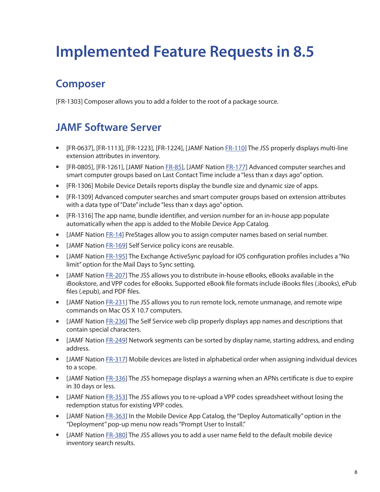# **Implemented Feature Requests in 8.5**

### **Composer**

[FR-1303] Composer allows you to add a folder to the root of a package source.

### **JAMF Software Server**

- **EXECT** [FR-0637], [FR-1113], [FR-1223], [FR-1224], [JAMF Nation [FR-110\]](https://jamfnation.jamfsoftware.com/featureRequest.html?id=110) The JSS properly displays multi-line extension attributes in inventory.
- **EXACTER-0805], [FR-1261], [JAMF Nation [FR-85\]](https://jamfnation.jamfsoftware.com/featureRequest.html?id=85), [JAMF Nation [FR-177\]](https://jamfnation.jamfsoftware.com/featureRequest.html?id=177) Advanced computer searches and** smart computer groups based on Last Contact Time include a "less than x days ago" option.
- [FR-1306] Mobile Device Details reports display the bundle size and dynamic size of apps.
- [FR-1309] Advanced computer searches and smart computer groups based on extension attributes with a data type of "Date" include "less than x days ago" option.
- [FR-1316] The app name, bundle identifier, and version number for an in-house app populate automatically when the app is added to the Mobile Device App Catalog.
- **IFMURTH THAM** THAME THAME IS NOT THAME IS NOTHER IN THAMA IS NOTHER IN THAMAL IS SERIAL NUMBER.
- **IFME IS ATTE:** JAMF Nation [FR-169](https://jamfnation.jamfsoftware.com/featureRequest.html?id=169)] Self Service policy icons are reusable.
- **IDED THE STAMF Nation [FR-195](https://jamfnation.jamfsoftware.com/featureRequest.html?id=195)] The Exchange ActiveSync payload for iOS configuration profiles includes a "No Interact 20 and F** limit" option for the Mail Days to Sync setting.
- [JAMF Nation [FR-207](https://jamfnation.jamfsoftware.com/featureRequest.html?id=207)] The JSS allows you to distribute in-house eBooks, eBooks available in the iBookstore, and VPP codes for eBooks. Supported eBook file formats include iBooks files (.ibooks), ePub files (.epub), and PDF files.
- [JAMF Nation [FR-231](https://jamfnation.jamfsoftware.com/featureRequest.html?id=231)] The JSS allows you to run remote lock, remote unmanage, and remote wipe commands on Mac OS X 10.7 computers.
- **JAMF Nation [FR-236](https://jamfnation.jamfsoftware.com/featureRequest.html?id=236)] The Self Service web clip properly displays app names and descriptions that** contain special characters.
- [JAMF Nation [FR-249](https://jamfnation.jamfsoftware.com/featureRequest.html?id=249)] Network segments can be sorted by display name, starting address, and ending address.
- [JAMF Nation [FR-317](https://jamfnation.jamfsoftware.com/featureRequest.html?id=317)] Mobile devices are listed in alphabetical order when assigning individual devices to a scope.
- [JAMF Nation [FR-336](https://jamfnation.jamfsoftware.com/featureRequest.html?id=336)] The JSS homepage displays a warning when an APNs certificate is due to expire in 30 days or less.
- [JAMF Nation [FR-353](https://jamfnation.jamfsoftware.com/featureRequest.html?id=353)] The JSS allows you to re-upload a VPP codes spreadsheet without losing the redemption status for existing VPP codes.
- **If CLAMF Nation FR[-363](https://jamfnation.jamfsoftware.com/featureRequest.html?id=363)] In the Mobile Device App Catalog, the "Deploy Automatically" option in the** "Deployment" pop-up menu now reads "Prompt User to Install."
- **IFF 1980** JAMF Nation [FR-380](https://jamfnation.jamfsoftware.com/featureRequest.html?id=380)] The JSS allows you to add a user name field to the default mobile device inventory search results.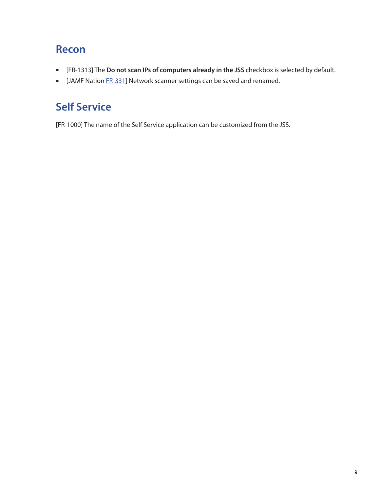### **Recon**

- [FR-1313] The **Do not scan IPs of computers already in the JSS** checkbox is selected by default.
- **IFME IS AMF Nation [FR-331](https://jamfnation.jamfsoftware.com/featureRequest.html?id=331)] Network scanner settings can be saved and renamed.**

## **Self Service**

[FR-1000] The name of the Self Service application can be customized from the JSS.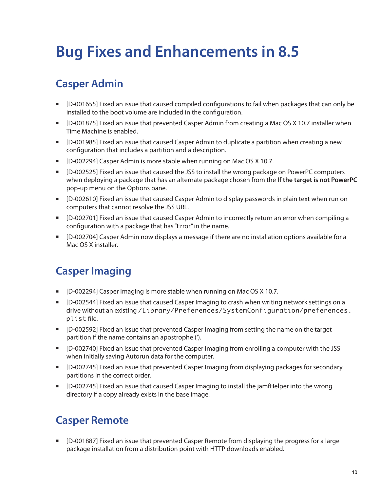# **Bug Fixes and Enhancements in 8.5**

## **Casper Admin**

- [D-001655] Fixed an issue that caused compiled configurations to fail when packages that can only be installed to the boot volume are included in the configuration.
- [D-001875] Fixed an issue that prevented Casper Admin from creating a Mac OS X 10.7 installer when Time Machine is enabled.
- [D-001985] Fixed an issue that caused Casper Admin to duplicate a partition when creating a new configuration that includes a partition and a description.
- **EXECT** [D-002294] Casper Admin is more stable when running on Mac OS X 10.7.
- [D-002525] Fixed an issue that caused the JSS to install the wrong package on PowerPC computers when deploying a package that has an alternate package chosen from the **If the target is not PowerPC** pop-up menu on the Options pane.
- [D-002610] Fixed an issue that caused Casper Admin to display passwords in plain text when run on computers that cannot resolve the JSS URL.
- [D-002701] Fixed an issue that caused Casper Admin to incorrectly return an error when compiling a configuration with a package that has "Error" in the name.
- [D-002704] Casper Admin now displays a message if there are no installation options available for a Mac OS X installer.

#### **Casper Imaging**

- [D-002294] Casper Imaging is more stable when running on Mac OS X 10.7.
- [D-002544] Fixed an issue that caused Casper Imaging to crash when writing network settings on a drive without an existing /Library/Preferences/SystemConfiguration/preferences. plist file.
- [D-002592] Fixed an issue that prevented Casper Imaging from setting the name on the target partition if the name contains an apostrophe (').
- [D-002740] Fixed an issue that prevented Casper Imaging from enrolling a computer with the JSS when initially saving Autorun data for the computer.
- [D-002745] Fixed an issue that prevented Casper Imaging from displaying packages for secondary partitions in the correct order.
- **•** [D-002745] Fixed an issue that caused Casper Imaging to install the jamfHelper into the wrong directory if a copy already exists in the base image.

### **Casper Remote**

 [D-001887] Fixed an issue that prevented Casper Remote from displaying the progress for a large package installation from a distribution point with HTTP downloads enabled.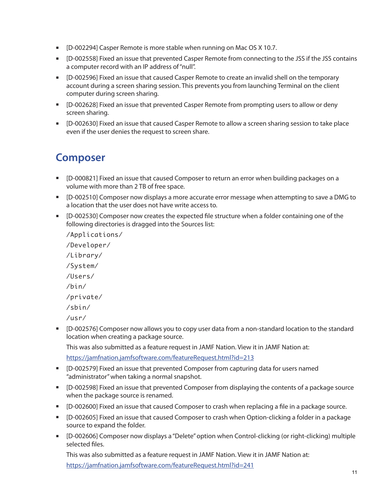- [D-002294] Casper Remote is more stable when running on Mac OS X 10.7.
- [D-002558] Fixed an issue that prevented Casper Remote from connecting to the JSS if the JSS contains a computer record with an IP address of "null".
- **EXTED-002596] Fixed an issue that caused Casper Remote to create an invalid shell on the temporary** account during a screen sharing session. This prevents you from launching Terminal on the client computer during screen sharing.
- [D-002628] Fixed an issue that prevented Casper Remote from prompting users to allow or deny screen sharing.
- [D-002630] Fixed an issue that caused Casper Remote to allow a screen sharing session to take place even if the user denies the request to screen share.

#### **Composer**

- [D-000821] Fixed an issue that caused Composer to return an error when building packages on a volume with more than 2 TB of free space.
- [D-002510] Composer now displays a more accurate error message when attempting to save a DMG to a location that the user does not have write access to.
- [D-002530] Composer now creates the expected file structure when a folder containing one of the following directories is dragged into the Sources list:

/Applications/ /Developer/ /Library/ /System/ /Users/ /bin/ /private/ /sbin/ /usr/

 [D-002576] Composer now allows you to copy user data from a non-standard location to the standard location when creating a package source.

This was also submitted as a feature request in JAMF Nation. View it in JAMF Nation at:

<https://jamfnation.jamfsoftware.com/featureRequest.html?id=213>

- **•** [D-002579] Fixed an issue that prevented Composer from capturing data for users named "administrator" when taking a normal snapshot.
- [D-002598] Fixed an issue that prevented Composer from displaying the contents of a package source when the package source is renamed.
- [D-002600] Fixed an issue that caused Composer to crash when replacing a file in a package source.
- [D-002605] Fixed an issue that caused Composer to crash when Option-clicking a folder in a package source to expand the folder.
- [D-002606] Composer now displays a "Delete" option when Control-clicking (or right-clicking) multiple selected files.

This was also submitted as a feature request in JAMF Nation. View it in JAMF Nation at: <https://jamfnation.jamfsoftware.com/featureRequest.html?id=241>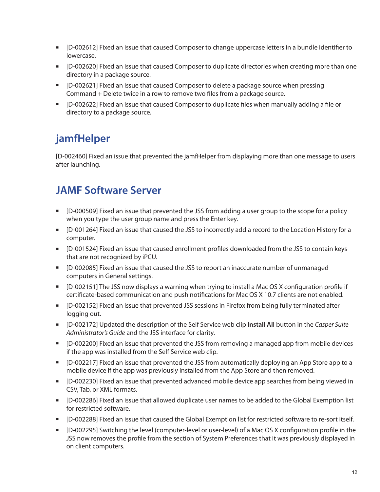- [D-002612] Fixed an issue that caused Composer to change uppercase letters in a bundle identifier to lowercase.
- [D-002620] Fixed an issue that caused Composer to duplicate directories when creating more than one directory in a package source.
- [D-002621] Fixed an issue that caused Composer to delete a package source when pressing Command + Delete twice in a row to remove two files from a package source.
- [D-002622] Fixed an issue that caused Composer to duplicate files when manually adding a file or directory to a package source.

## **jamfHelper**

[D-002460] Fixed an issue that prevented the jamfHelper from displaying more than one message to users after launching.

#### **JAMF Software Server**

- [D-000509] Fixed an issue that prevented the JSS from adding a user group to the scope for a policy when you type the user group name and press the Enter key.
- [D-001264] Fixed an issue that caused the JSS to incorrectly add a record to the Location History for a computer.
- [D-001524] Fixed an issue that caused enrollment profiles downloaded from the JSS to contain keys that are not recognized by iPCU.
- [D-002085] Fixed an issue that caused the JSS to report an inaccurate number of unmanaged computers in General settings.
- $\blacksquare$  [D-002151] The JSS now displays a warning when trying to install a Mac OS X configuration profile if certificate-based communication and push notifications for Mac OS X 10.7 clients are not enabled.
- [D-002152] Fixed an issue that prevented JSS sessions in Firefox from being fully terminated after logging out.
- [D-002172] Updated the description of the Self Service web clip **Install All** button in the *Casper Suite Administrator's Guide* and the JSS interface for clarity.
- [D-002200] Fixed an issue that prevented the JSS from removing a managed app from mobile devices if the app was installed from the Self Service web clip.
- [D-002217] Fixed an issue that prevented the JSS from automatically deploying an App Store app to a mobile device if the app was previously installed from the App Store and then removed.
- [D-002230] Fixed an issue that prevented advanced mobile device app searches from being viewed in CSV, Tab, or XML formats.
- [D-002286] Fixed an issue that allowed duplicate user names to be added to the Global Exemption list for restricted software.
- [D-002288] Fixed an issue that caused the Global Exemption list for restricted software to re-sort itself.
- [D-002295] Switching the level (computer-level or user-level) of a Mac OS X configuration profile in the JSS now removes the profile from the section of System Preferences that it was previously displayed in on client computers.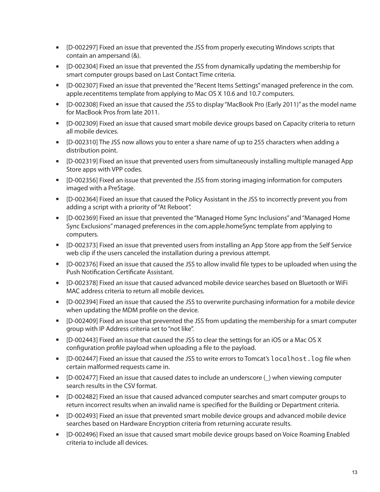- [D-002297] Fixed an issue that prevented the JSS from properly executing Windows scripts that contain an ampersand (&).
- [D-002304] Fixed an issue that prevented the JSS from dynamically updating the membership for smart computer groups based on Last Contact Time criteria.
- [D-002307] Fixed an issue that prevented the "Recent Items Settings" managed preference in the com. apple.recentitems template from applying to Mac OS X 10.6 and 10.7 computers.
- [D-002308] Fixed an issue that caused the JSS to display "MacBook Pro (Early 2011)" as the model name for MacBook Pros from late 2011.
- [D-002309] Fixed an issue that caused smart mobile device groups based on Capacity criteria to return all mobile devices.
- [D-002310] The JSS now allows you to enter a share name of up to 255 characters when adding a distribution point.
- [D-002319] Fixed an issue that prevented users from simultaneously installing multiple managed App Store apps with VPP codes.
- [D-002356] Fixed an issue that prevented the JSS from storing imaging information for computers imaged with a PreStage.
- [D-002364] Fixed an issue that caused the Policy Assistant in the JSS to incorrectly prevent you from adding a script with a priority of "At Reboot".
- [D-002369] Fixed an issue that prevented the "Managed Home Sync Inclusions" and "Managed Home Sync Exclusions" managed preferences in the com.apple.homeSync template from applying to computers.
- [D-002373] Fixed an issue that prevented users from installing an App Store app from the Self Service web clip if the users canceled the installation during a previous attempt.
- [D-002376] Fixed an issue that caused the JSS to allow invalid file types to be uploaded when using the Push Notification Certificate Assistant.
- [D-002378] Fixed an issue that caused advanced mobile device searches based on Bluetooth or WiFi MAC address criteria to return all mobile devices.
- [D-002394] Fixed an issue that caused the JSS to overwrite purchasing information for a mobile device when updating the MDM profile on the device.
- [D-002409] Fixed an issue that prevented the JSS from updating the membership for a smart computer group with IP Address criteria set to "not like".
- [D-002443] Fixed an issue that caused the JSS to clear the settings for an iOS or a Mac OS X configuration profile payload when uploading a file to the payload.
- [D-002447] Fixed an issue that caused the JSS to write errors to Tomcat's localhost.log file when certain malformed requests came in.
- [D-002477] Fixed an issue that caused dates to include an underscore (\_) when viewing computer search results in the CSV format.
- [D-002482] Fixed an issue that caused advanced computer searches and smart computer groups to return incorrect results when an invalid name is specified for the Building or Department criteria.
- [D-002493] Fixed an issue that prevented smart mobile device groups and advanced mobile device searches based on Hardware Encryption criteria from returning accurate results.
- [D-002496] Fixed an issue that caused smart mobile device groups based on Voice Roaming Enabled criteria to include all devices.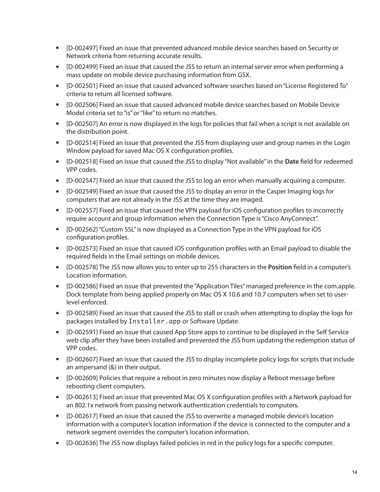- [D-002497] Fixed an issue that prevented advanced mobile device searches based on Security or Network criteria from returning accurate results.
- [D-002499] Fixed an issue that caused the JSS to return an internal server error when performing a mass update on mobile device purchasing information from GSX.
- [D-002501] Fixed an issue that caused advanced software searches based on "License Registered To" criteria to return all licensed software.
- [D-002506] Fixed an issue that caused advanced mobile device searches based on Mobile Device Model criteria set to "is" or "like" to return no matches.
- [D-002507] An error is now displayed in the logs for policies that fail when a script is not available on the distribution point.
- [D-002514] Fixed an issue that prevented the JSS from displaying user and group names in the Login Window payload for saved Mac OS X configuration profiles.
- [D-002518] Fixed an issue that caused the JSS to display "Not available" in the **Date** field for redeemed VPP codes.
- [D-002547] Fixed an issue that caused the JSS to log an error when manually acquiring a computer.
- [D-002549] Fixed an issue that caused the JSS to display an error in the Casper Imaging logs for computers that are not already in the JSS at the time they are imaged.
- [D-002557] Fixed an issue that caused the VPN payload for iOS configuration profiles to incorrectly require account and group information when the Connection Type is "Cisco AnyConnect".
- [D-002562] "Custom SSL" is now displayed as a Connection Type in the VPN payload for iOS configuration profiles.
- [D-002573] Fixed an issue that caused iOS configuration profiles with an Email payload to disable the required fields in the Email settings on mobile devices.
- [D-002578] The JSS now allows you to enter up to 255 characters in the **Position** field in a computer's Location information.
- [D-002586] Fixed an issue that prevented the "Application Tiles" managed preference in the com.apple. Dock template from being applied properly on Mac OS X 10.6 and 10.7 computers when set to userlevel enforced.
- [D-002589] Fixed an issue that caused the JSS to stall or crash when attempting to display the logs for packages installed by Installer.app or Software Update.
- [D-002591] Fixed an issue that caused App Store apps to continue to be displayed in the Self Service web clip after they have been installed and prevented the JSS from updating the redemption status of VPP codes.
- [D-002607] Fixed an issue that caused the JSS to display incomplete policy logs for scripts that include an ampersand (&) in their output.
- **•** [D-002609] Policies that require a reboot in zero minutes now display a Reboot message before rebooting client computers.
- [D-002613] Fixed an issue that prevented Mac OS X configuration profiles with a Network payload for an 802.1x network from passing network authentication credentials to computers.
- [D-002617] Fixed an issue that caused the JSS to overwrite a managed mobile device's location information with a computer's location information if the device is connected to the computer and a network segment overrides the computer's location information.
- [D-002636] The JSS now displays failed policies in red in the policy logs for a specific computer.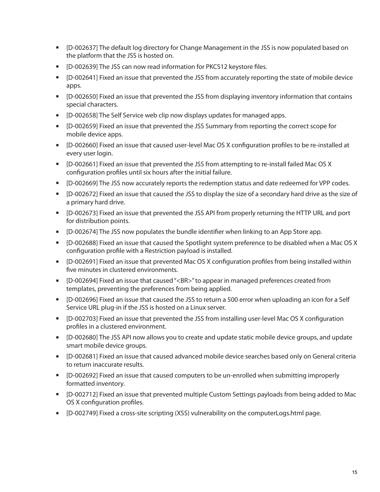- [D-002637] The default log directory for Change Management in the JSS is now populated based on the platform that the JSS is hosted on.
- [D-002639] The JSS can now read information for PKCS12 keystore files.
- [D-002641] Fixed an issue that prevented the JSS from accurately reporting the state of mobile device apps.
- [D-002650] Fixed an issue that prevented the JSS from displaying inventory information that contains special characters.
- [D-002658] The Self Service web clip now displays updates for managed apps.
- [D-002659] Fixed an issue that prevented the JSS Summary from reporting the correct scope for mobile device apps.
- [D-002660] Fixed an issue that caused user-level Mac OS X configuration profiles to be re-installed at every user login.
- [D-002661] Fixed an issue that prevented the JSS from attempting to re-install failed Mac OS X configuration profiles until six hours after the initial failure.
- [D-002669] The JSS now accurately reports the redemption status and date redeemed for VPP codes.
- [D-002672] Fixed an issue that caused the JSS to display the size of a secondary hard drive as the size of a primary hard drive.
- [D-002673] Fixed an issue that prevented the JSS API from properly returning the HTTP URL and port for distribution points.
- **•** [D-002674] The JSS now populates the bundle identifier when linking to an App Store app.
- [D-002688] Fixed an issue that caused the Spotlight system preference to be disabled when a Mac OS X configuration profile with a Restriction payload is installed.
- [D-002691] Fixed an issue that prevented Mac OS X configuration profiles from being installed within five minutes in clustered environments.
- [D-002694] Fixed an issue that caused "<BR>" to appear in managed preferences created from templates, preventing the preferences from being applied.
- [D-002696] Fixed an issue that caused the JSS to return a 500 error when uploading an icon for a Self Service URL plug-in if the JSS is hosted on a Linux server.
- [D-002703] Fixed an issue that prevented the JSS from installing user-level Mac OS X configuration profiles in a clustered environment.
- [D-002680] The JSS API now allows you to create and update static mobile device groups, and update smart mobile device groups.
- [D-002681] Fixed an issue that caused advanced mobile device searches based only on General criteria to return inaccurate results.
- **•** [D-002692] Fixed an issue that caused computers to be un-enrolled when submitting improperly formatted inventory.
- [D-002712] Fixed an issue that prevented multiple Custom Settings payloads from being added to Mac OS X configuration profiles.
- [D-002749] Fixed a cross-site scripting (XSS) vulnerability on the computerLogs.html page.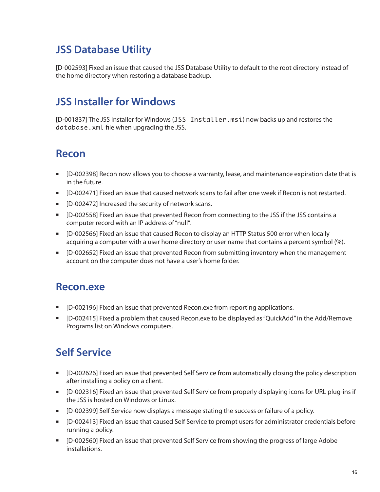### **JSS Database Utility**

[D-002593] Fixed an issue that caused the JSS Database Utility to default to the root directory instead of the home directory when restoring a database backup.

#### **JSS Installer for Windows**

[D-001837] The JSS Installer for Windows (JSS Installer.msi) now backs up and restores the database.xml file when upgrading the JSS.

#### **Recon**

- [D-002398] Recon now allows you to choose a warranty, lease, and maintenance expiration date that is in the future.
- [D-002471] Fixed an issue that caused network scans to fail after one week if Recon is not restarted.
- [D-002472] Increased the security of network scans.
- [D-002558] Fixed an issue that prevented Recon from connecting to the JSS if the JSS contains a computer record with an IP address of "null".
- [D-002566] Fixed an issue that caused Recon to display an HTTP Status 500 error when locally acquiring a computer with a user home directory or user name that contains a percent symbol (%).
- **•** [D-002652] Fixed an issue that prevented Recon from submitting inventory when the management account on the computer does not have a user's home folder.

#### **Recon.exe**

- **EXED-002196] Fixed an issue that prevented Recon.exe from reporting applications.**
- [D-002415] Fixed a problem that caused Recon.exe to be displayed as "QuickAdd" in the Add/Remove Programs list on Windows computers.

#### **Self Service**

- [D-002626] Fixed an issue that prevented Self Service from automatically closing the policy description after installing a policy on a client.
- [D-002316] Fixed an issue that prevented Self Service from properly displaying icons for URL plug-ins if the JSS is hosted on Windows or Linux.
- [D-002399] Self Service now displays a message stating the success or failure of a policy.
- [D-002413] Fixed an issue that caused Self Service to prompt users for administrator credentials before running a policy.
- **EXP** [D-002560] Fixed an issue that prevented Self Service from showing the progress of large Adobe installations.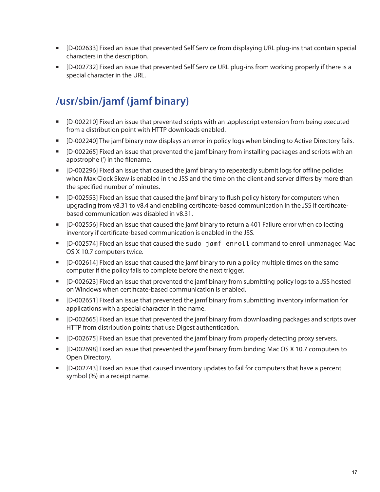- [D-002633] Fixed an issue that prevented Self Service from displaying URL plug-ins that contain special characters in the description.
- [D-002732] Fixed an issue that prevented Self Service URL plug-ins from working properly if there is a special character in the URL.

## **/usr/sbin/jamf (jamf binary)**

- [D-002210] Fixed an issue that prevented scripts with an .applescript extension from being executed from a distribution point with HTTP downloads enabled.
- [D-002240] The jamf binary now displays an error in policy logs when binding to Active Directory fails.
- [D-002265] Fixed an issue that prevented the jamf binary from installing packages and scripts with an apostrophe (') in the filename.
- [D-002296] Fixed an issue that caused the jamf binary to repeatedly submit logs for offline policies when Max Clock Skew is enabled in the JSS and the time on the client and server differs by more than the specified number of minutes.
- [D-002553] Fixed an issue that caused the jamf binary to flush policy history for computers when upgrading from v8.31 to v8.4 and enabling certificate-based communication in the JSS if certificatebased communication was disabled in v8.31.
- [D-002556] Fixed an issue that caused the jamf binary to return a 401 Failure error when collecting inventory if certificate-based communication is enabled in the JSS.
- [D-002574] Fixed an issue that caused the sudo jamf enroll command to enroll unmanaged Mac OS X 10.7 computers twice.
- [D-002614] Fixed an issue that caused the jamf binary to run a policy multiple times on the same computer if the policy fails to complete before the next trigger.
- [D-002623] Fixed an issue that prevented the jamf binary from submitting policy logs to a JSS hosted on Windows when certificate-based communication is enabled.
- [D-002651] Fixed an issue that prevented the jamf binary from submitting inventory information for applications with a special character in the name.
- [D-002665] Fixed an issue that prevented the jamf binary from downloading packages and scripts over HTTP from distribution points that use Digest authentication.
- **•** [D-002675] Fixed an issue that prevented the jamf binary from properly detecting proxy servers.
- [D-002698] Fixed an issue that prevented the jamf binary from binding Mac OS X 10.7 computers to Open Directory.
- [D-002743] Fixed an issue that caused inventory updates to fail for computers that have a percent symbol (%) in a receipt name.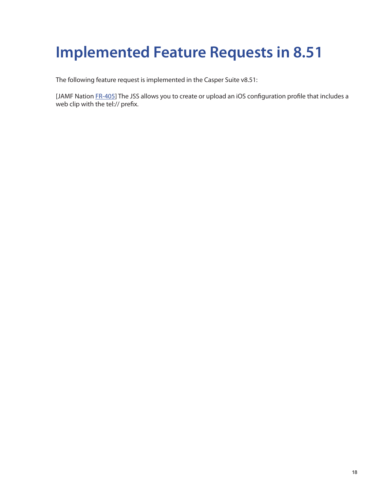# **Implemented Feature Requests in 8.51**

The following feature request is implemented in the Casper Suite v8.51:

[JAMF Nation [FR-](https://jamfnation.jamfsoftware.com/featureRequest.html?id=405)405] The JSS allows you to create or upload an iOS configuration profile that includes a web clip with the tel:// prefix.